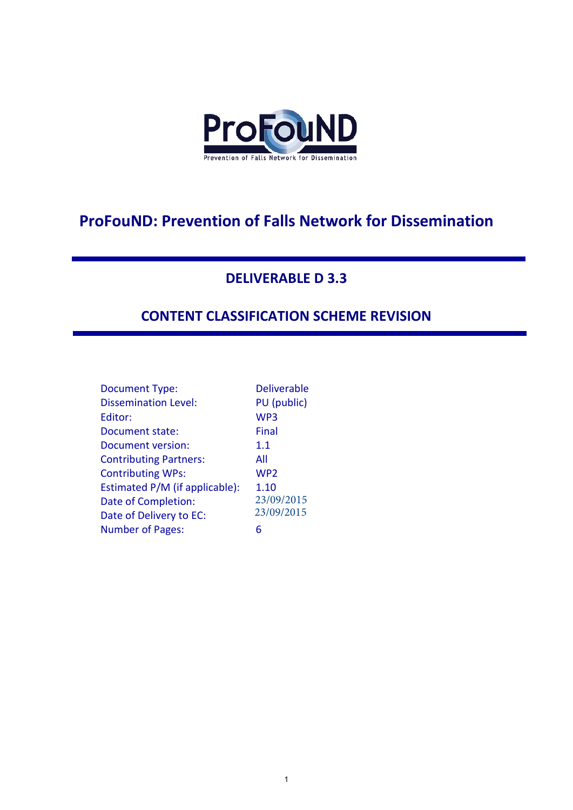

# **ProFouND: Prevention of Falls Network for Dissemination**

#### **DELIVERABLE D 3.3**

### **CONTENT CLASSIFICATION SCHEME REVISION**

| <b>Document Type:</b>          | <b>Deliverable</b> |
|--------------------------------|--------------------|
| <b>Dissemination Level:</b>    | PU (public)        |
| Editor:                        | WP3                |
| Document state:                | Final              |
| Document version:              | 1.1                |
| <b>Contributing Partners:</b>  | All                |
| <b>Contributing WPs:</b>       | WP <sub>2</sub>    |
| Estimated P/M (if applicable): | 1.10               |
| Date of Completion:            | 23/09/2015         |
| Date of Delivery to EC:        | 23/09/2015         |
| <b>Number of Pages:</b>        | 6                  |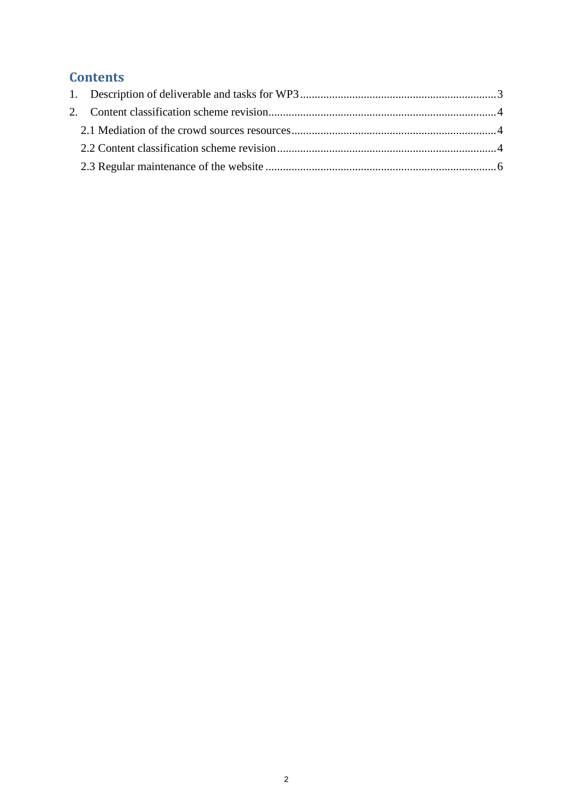## **Contents**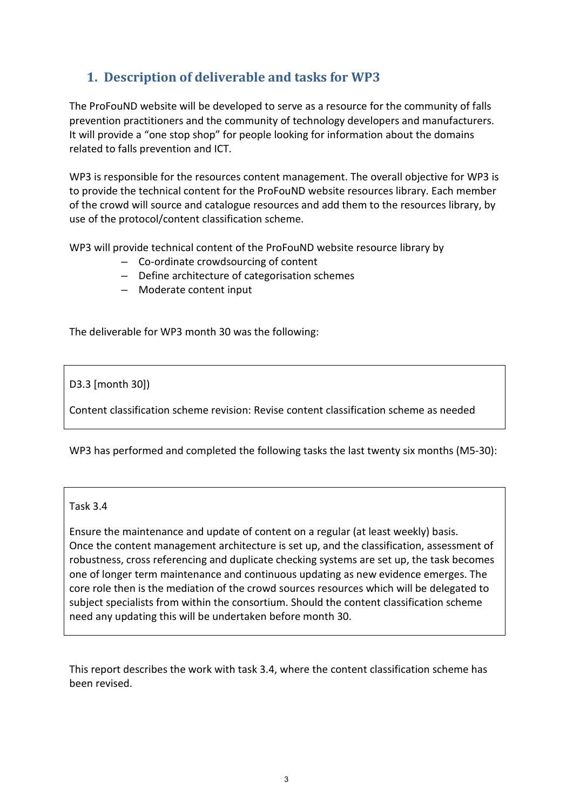## <span id="page-2-0"></span>**1. Description of deliverable and tasks for WP3**

The ProFouND website will be developed to serve as a resource for the community of falls prevention practitioners and the community of technology developers and manufacturers. It will provide a "one stop shop" for people looking for information about the domains related to falls prevention and ICT.

WP3 is responsible for the resources content management. The overall objective for WP3 is to provide the technical content for the ProFouND website resources library. Each member of the crowd will source and catalogue resources and add them to the resources library, by use of the protocol/content classification scheme.

WP3 will provide technical content of the ProFouND website resource library by

- Co-ordinate crowdsourcing of content
- Define architecture of categorisation schemes
- Moderate content input

The deliverable for WP3 month 30 was the following:

D3.3 [month 30])

Content classification scheme revision: Revise content classification scheme as needed

WP3 has performed and completed the following tasks the last twenty six months (M5-30):

Task 3.4

Ensure the maintenance and update of content on a regular (at least weekly) basis. Once the content management architecture is set up, and the classification, assessment of robustness, cross referencing and duplicate checking systems are set up, the task becomes one of longer term maintenance and continuous updating as new evidence emerges. The core role then is the mediation of the crowd sources resources which will be delegated to subject specialists from within the consortium. Should the content classification scheme need any updating this will be undertaken before month 30.

This report describes the work with task 3.4, where the content classification scheme has been revised.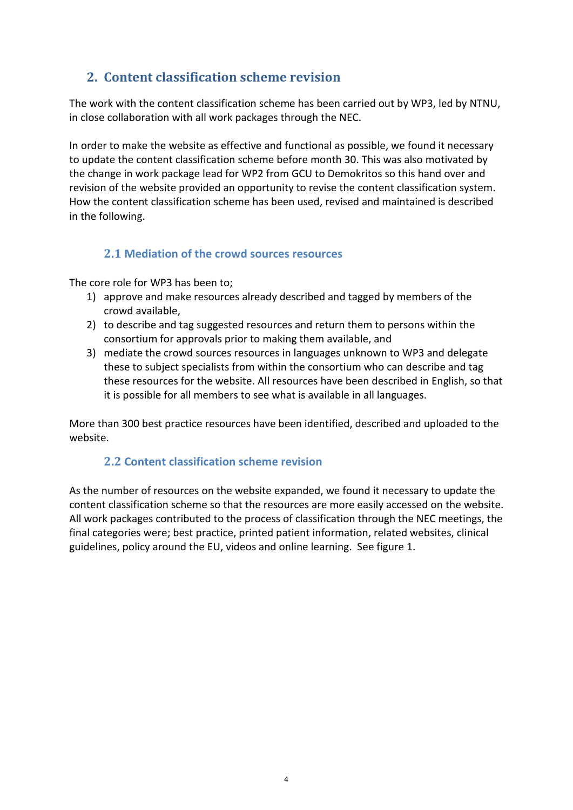#### <span id="page-3-0"></span>**2. Content classification scheme revision**

The work with the content classification scheme has been carried out by WP3, led by NTNU, in close collaboration with all work packages through the NEC.

In order to make the website as effective and functional as possible, we found it necessary to update the content classification scheme before month 30. This was also motivated by the change in work package lead for WP2 from GCU to Demokritos so this hand over and revision of the website provided an opportunity to revise the content classification system. How the content classification scheme has been used, revised and maintained is described in the following.

#### <span id="page-3-1"></span>**2.1 Mediation of the crowd sources resources**

The core role for WP3 has been to;

- 1) approve and make resources already described and tagged by members of the crowd available,
- 2) to describe and tag suggested resources and return them to persons within the consortium for approvals prior to making them available, and
- 3) mediate the crowd sources resources in languages unknown to WP3 and delegate these to subject specialists from within the consortium who can describe and tag these resources for the website. All resources have been described in English, so that it is possible for all members to see what is available in all languages.

<span id="page-3-2"></span>More than 300 best practice resources have been identified, described and uploaded to the website.

#### **2.2 Content classification scheme revision**

As the number of resources on the website expanded, we found it necessary to update the content classification scheme so that the resources are more easily accessed on the website. All work packages contributed to the process of classification through the NEC meetings, the final categories were; best practice, printed patient information, related websites, clinical guidelines, policy around the EU, videos and online learning. See figure 1.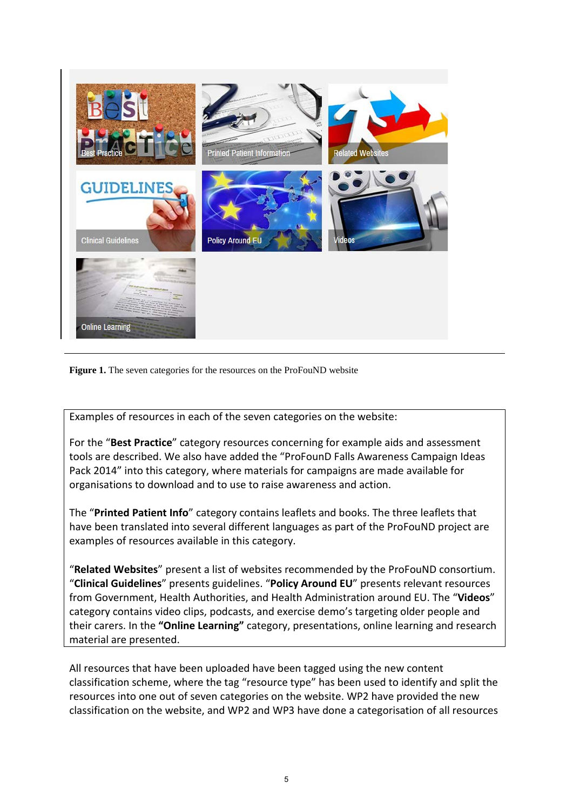



Examples of resources in each of the seven categories on the website:

For the "**Best Practice**" category resources concerning for example aids and assessment tools are described. We also have added the "ProFounD Falls Awareness Campaign Ideas Pack 2014" into this category, where materials for campaigns are made available for organisations to download and to use to raise awareness and action.

The "**Printed Patient Info**" category contains leaflets and books. The three leaflets that have been translated into several different languages as part of the ProFouND project are examples of resources available in this category.

"**Related Websites**" present a list of websites recommended by the ProFouND consortium. "**Clinical Guidelines**" presents guidelines. "**Policy Around EU**" presents relevant resources from Government, Health Authorities, and Health Administration around EU. The "**Videos**" category contains video clips, podcasts, and exercise demo's targeting older people and their carers. In the **"Online Learning"** category, presentations, online learning and research material are presented.

All resources that have been uploaded have been tagged using the new content classification scheme, where the tag "resource type" has been used to identify and split the resources into one out of seven categories on the website. WP2 have provided the new classification on the website, and WP2 and WP3 have done a categorisation of all resources